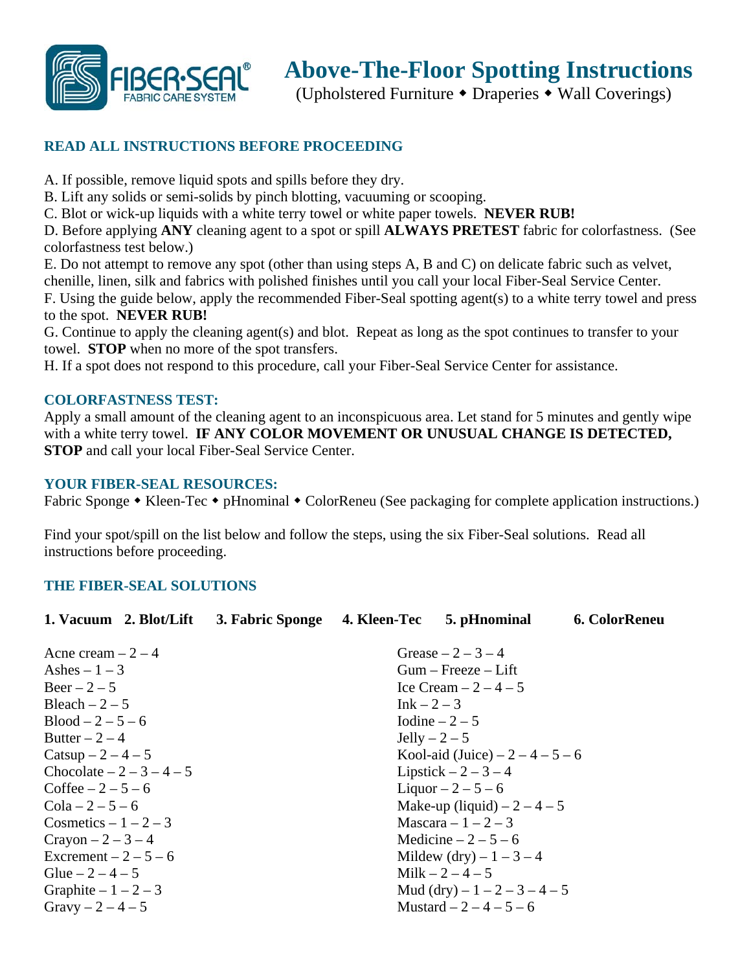

## **Above-The-Floor Spotting Instructions**

(Upholstered Furniture Draperies Wall Coverings)

### **READ ALL INSTRUCTIONS BEFORE PROCEEDING**

A. If possible, remove liquid spots and spills before they dry.

B. Lift any solids or semi-solids by pinch blotting, vacuuming or scooping.

C. Blot or wick-up liquids with a white terry towel or white paper towels. **NEVER RUB!**

D. Before applying **ANY** cleaning agent to a spot or spill **ALWAYS PRETEST** fabric for colorfastness. (See colorfastness test below.)

E. Do not attempt to remove any spot (other than using steps A, B and C) on delicate fabric such as velvet, chenille, linen, silk and fabrics with polished finishes until you call your local Fiber-Seal Service Center. F. Using the guide below, apply the recommended Fiber-Seal spotting agent(s) to a white terry towel and press to the spot. **NEVER RUB!** 

G. Continue to apply the cleaning agent(s) and blot. Repeat as long as the spot continues to transfer to your towel. **STOP** when no more of the spot transfers.

H. If a spot does not respond to this procedure, call your Fiber-Seal Service Center for assistance.

### **COLORFASTNESS TEST:**

Apply a small amount of the cleaning agent to an inconspicuous area. Let stand for 5 minutes and gently wipe with a white terry towel. **IF ANY COLOR MOVEMENT OR UNUSUAL CHANGE IS DETECTED, STOP** and call your local Fiber-Seal Service Center.

#### **YOUR FIBER-SEAL RESOURCES:**

Fabric Sponge • Kleen-Tec • pHnominal • ColorReneu (See packaging for complete application instructions.)

Find your spot/spill on the list below and follow the steps, using the six Fiber-Seal solutions. Read all instructions before proceeding.

### **THE FIBER-SEAL SOLUTIONS**

| 1. Vacuum 2. Blot/Lift     | 3. Fabric Sponge                  | 4. Kleen-Tec             | 5. pHnominal           | <b>6. ColorReneu</b> |  |  |
|----------------------------|-----------------------------------|--------------------------|------------------------|----------------------|--|--|
| Acne cream $-2-4$          | Grease $-2-3-4$                   |                          |                        |                      |  |  |
| Ashes $-1-3$               |                                   | $Gum - Freeze - Lift$    |                        |                      |  |  |
| $\text{Beer} - 2 - 5$      | Ice Cream $-2-4-5$                |                          |                        |                      |  |  |
| Bleach $-2-5$              | $Ink - 2 - 3$                     |                          |                        |                      |  |  |
| $Blood - 2 - 5 - 6$        | Iodine $-2-5$                     |                          |                        |                      |  |  |
| Butter $-2-4$              | $Jelly - 2 - 5$                   |                          |                        |                      |  |  |
| Catsup $-2 - 4 - 5$        | Kool-aid (Juice) $-2 - 4 - 5 - 6$ |                          |                        |                      |  |  |
| Chocolate $-2 - 3 - 4 - 5$ | Lipstick $-2-3-4$                 |                          |                        |                      |  |  |
| Coffee $-2 - 5 - 6$        | Liquor $-2 - 5 - 6$               |                          |                        |                      |  |  |
| $Cola - 2 - 5 - 6$         | Make-up (liquid) $-2-4-5$         |                          |                        |                      |  |  |
| Cosmetics $-1-2-3$         | Mascara $-1-2-3$                  |                          |                        |                      |  |  |
| $Crayon - 2 - 3 - 4$       |                                   |                          | Medicine $-2-5-6$      |                      |  |  |
| Excrement $-2-5-6$         | Mildew (dry) – $1 - 3 - 4$        |                          |                        |                      |  |  |
| Glue $-2 - 4 - 5$          |                                   |                          | Milk $-2 - 4 - 5$      |                      |  |  |
| Graphite $-1-2-3$          |                                   |                          | Mud (dry) $-1-2-3-4-5$ |                      |  |  |
| Gravy $-2 - 4 - 5$         |                                   | Mustard $-2 - 4 - 5 - 6$ |                        |                      |  |  |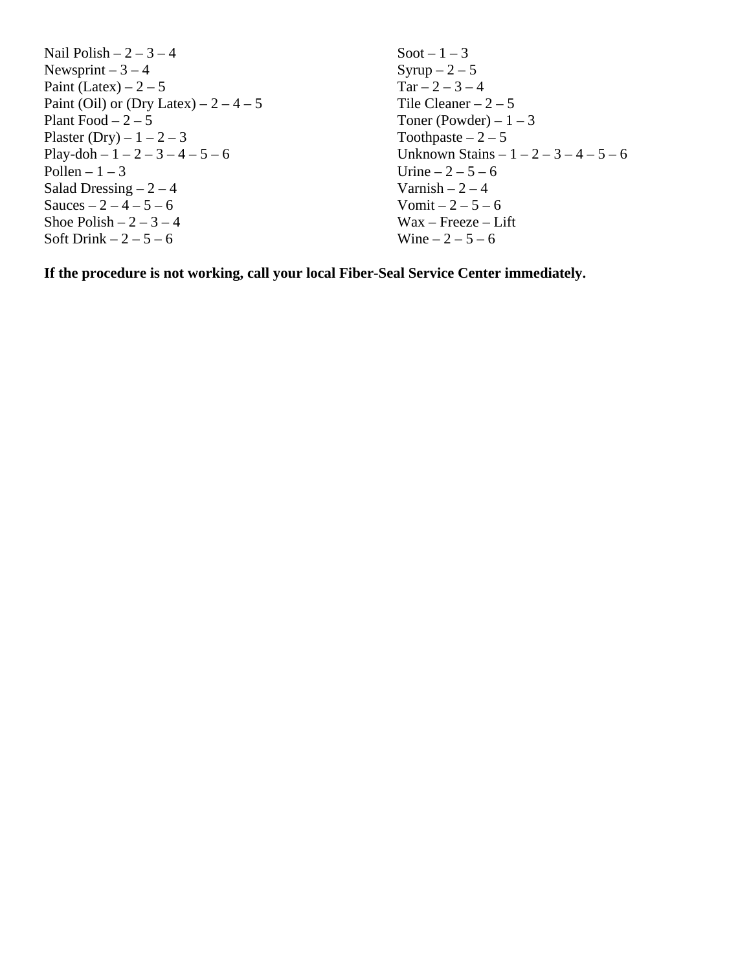Nail Polish –  $2 - 3 - 4$ Newsprint –  $3 - 4$ Paint (Latex) –  $2 - 5$ Paint (Oil) or (Dry Latex)  $-2 - 4 - 5$ Plant Food  $-2-5$ Plaster (Dry) –  $1-2-3$ Play-doh –  $1 - 2 - 3 - 4 - 5 - 6$ Pollen –  $1 - 3$ Salad Dressing  $-2 - 4$ Sauces –  $2 - 4 - 5 - 6$ Shoe Polish  $-2-3-4$ Soft Drink  $-2-5-6$ Soot –  $1-3$ Syrup  $-2-5$  $Tar - 2 - 3 - 4$ Tile Cleaner  $-2-5$ Toner (Powder) –  $1 - 3$ Toothpaste –  $2-5$ Unknown Stains  $-1 - 2 - 3 - 4 - 5 - 6$ Urine  $-2 - 5 - 6$ Varnish –  $2 - 4$ Vomit –  $2 - 5 - 6$ Wax – Freeze – Lift Wine  $-2 - 5 - 6$ 

**If the procedure is not working, call your local Fiber-Seal Service Center immediately.**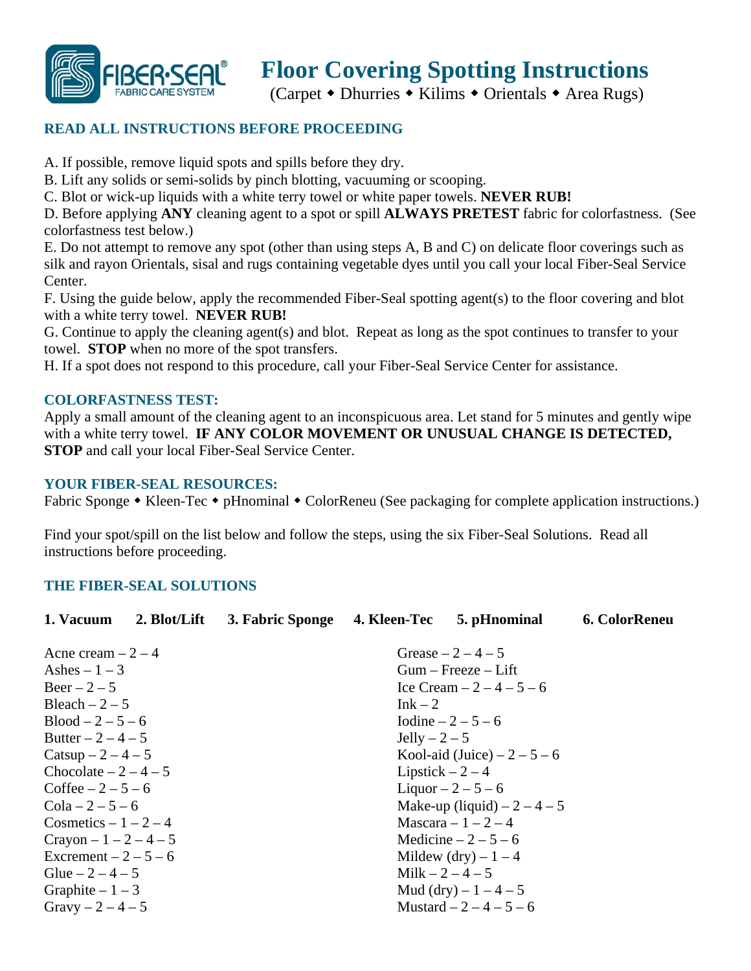

# **Floor Covering Spotting Instructions**

(Carpet  $\bullet$  Dhurries  $\bullet$  Kilims  $\bullet$  Orientals  $\bullet$  Area Rugs)

## **READ ALL INSTRUCTIONS BEFORE PROCEEDING**

A. If possible, remove liquid spots and spills before they dry.

B. Lift any solids or semi-solids by pinch blotting, vacuuming or scooping.

C. Blot or wick-up liquids with a white terry towel or white paper towels. **NEVER RUB!**

D. Before applying **ANY** cleaning agent to a spot or spill **ALWAYS PRETEST** fabric for colorfastness. (See colorfastness test below.)

E. Do not attempt to remove any spot (other than using steps A, B and C) on delicate floor coverings such as silk and rayon Orientals, sisal and rugs containing vegetable dyes until you call your local Fiber-Seal Service Center.

F. Using the guide below, apply the recommended Fiber-Seal spotting agent(s) to the floor covering and blot with a white terry towel. **NEVER RUB!** 

G. Continue to apply the cleaning agent(s) and blot. Repeat as long as the spot continues to transfer to your towel. **STOP** when no more of the spot transfers.

H. If a spot does not respond to this procedure, call your Fiber-Seal Service Center for assistance.

### **COLORFASTNESS TEST:**

Apply a small amount of the cleaning agent to an inconspicuous area. Let stand for 5 minutes and gently wipe with a white terry towel. **IF ANY COLOR MOVEMENT OR UNUSUAL CHANGE IS DETECTED, STOP** and call your local Fiber-Seal Service Center.

### **YOUR FIBER-SEAL RESOURCES:**

Fabric Sponge • Kleen-Tec • pHnominal • ColorReneu (See packaging for complete application instructions.)

Find your spot/spill on the list below and follow the steps, using the six Fiber-Seal Solutions. Read all instructions before proceeding.

### **THE FIBER-SEAL SOLUTIONS**

| 3. Fabric Sponge      | 4. Kleen-Tec | 5. pHnominal | 6. ColorReneu                                                                                                                                                                                                                                                                                                                                                    |  |
|-----------------------|--------------|--------------|------------------------------------------------------------------------------------------------------------------------------------------------------------------------------------------------------------------------------------------------------------------------------------------------------------------------------------------------------------------|--|
| Acne cream $-2-4$     |              |              |                                                                                                                                                                                                                                                                                                                                                                  |  |
|                       |              |              |                                                                                                                                                                                                                                                                                                                                                                  |  |
| Ashes $-1-3$          |              |              |                                                                                                                                                                                                                                                                                                                                                                  |  |
| $\text{Beer} - 2 - 5$ |              |              |                                                                                                                                                                                                                                                                                                                                                                  |  |
|                       | $Ink-2$      |              |                                                                                                                                                                                                                                                                                                                                                                  |  |
|                       |              |              |                                                                                                                                                                                                                                                                                                                                                                  |  |
|                       |              |              |                                                                                                                                                                                                                                                                                                                                                                  |  |
|                       |              |              |                                                                                                                                                                                                                                                                                                                                                                  |  |
|                       |              |              |                                                                                                                                                                                                                                                                                                                                                                  |  |
|                       |              |              |                                                                                                                                                                                                                                                                                                                                                                  |  |
|                       |              |              |                                                                                                                                                                                                                                                                                                                                                                  |  |
|                       |              |              |                                                                                                                                                                                                                                                                                                                                                                  |  |
|                       |              |              |                                                                                                                                                                                                                                                                                                                                                                  |  |
|                       |              |              |                                                                                                                                                                                                                                                                                                                                                                  |  |
|                       |              |              |                                                                                                                                                                                                                                                                                                                                                                  |  |
|                       |              |              |                                                                                                                                                                                                                                                                                                                                                                  |  |
|                       |              |              |                                                                                                                                                                                                                                                                                                                                                                  |  |
|                       |              |              | Grease $-2-4-5$<br>$Gum - Freeze - Lift$<br>Ice Cream $-2 - 4 - 5 - 6$<br>Iodine $-2 - 5 - 6$<br>Jelly $-2-5$<br>Kool-aid (Juice) $-2-5-6$<br>Lipstick $-2-4$<br>Liquor $-2 - 5 - 6$<br>Make-up (liquid) $-2-4-5$<br>Mascara $-1-2-4$<br>Medicine $-2 - 5 - 6$<br>Mildew (dry) $-1-4$<br>Milk $-2 - 4 - 5$<br>Mud (dry) $-1 - 4 - 5$<br>Mustard $-2 - 4 - 5 - 6$ |  |